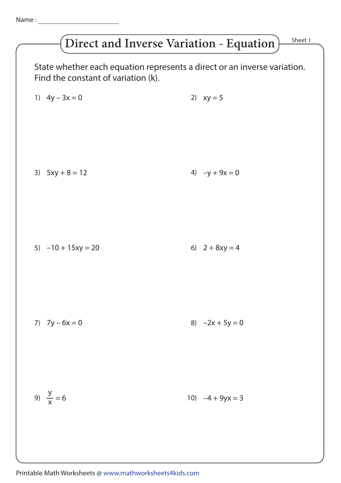## **Direct and Inverse Variation - Equation**

Sheet 1

State whether each equation represents a direct or an inverse variation. Find the constant of variation (k). 1)  $4y - 3x = 0$  2)  $xy = 5$ 3)  $5xy + 8 = 12$  4)  $-y + 9x = 0$ 5)  $-10 + 15xy = 20$  6)  $2 + 8xy = 4$ 7)  $7y - 6x = 0$  8)  $-2x + 5y = 0$ y x 10)  $-4 + 9yx = 3$